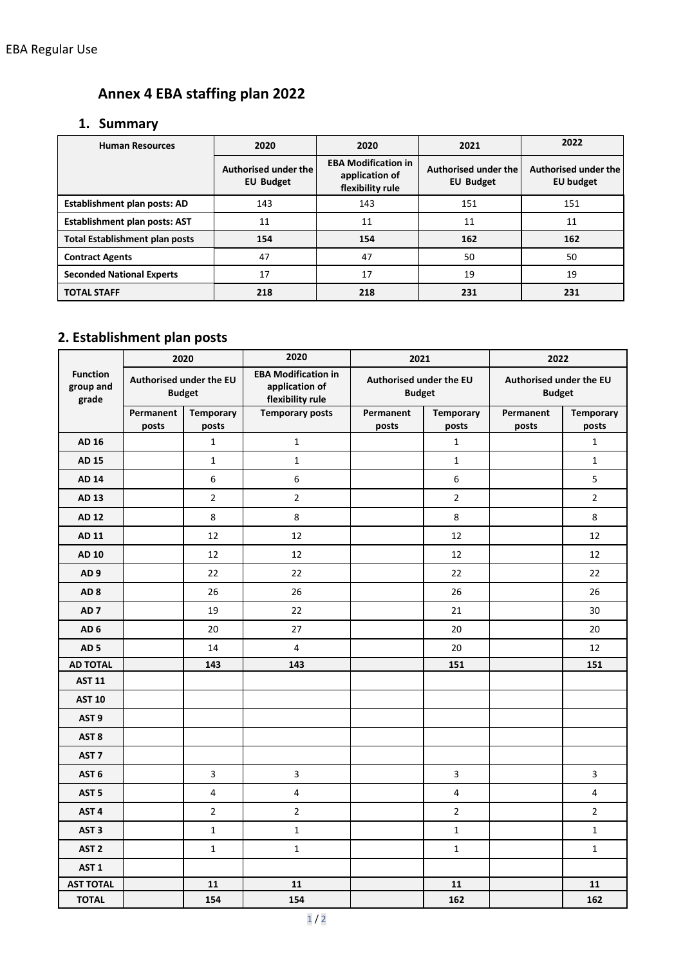## **Annex 4 EBA staffing plan 2022**

## **1. Summary**

| <b>Human Resources</b>                | 2020                                     | 2020                                                             | 2021                                     | 2022                              |  |
|---------------------------------------|------------------------------------------|------------------------------------------------------------------|------------------------------------------|-----------------------------------|--|
|                                       | Authorised under the<br><b>EU Budget</b> | <b>EBA Modification in</b><br>application of<br>flexibility rule | Authorised under the<br><b>EU Budget</b> | Authorised under the<br>EU budget |  |
| Establishment plan posts: AD          | 143                                      | 143                                                              | 151                                      | 151                               |  |
| <b>Establishment plan posts: AST</b>  | 11                                       | 11                                                               | 11                                       | 11                                |  |
| <b>Total Establishment plan posts</b> | 154                                      | 154                                                              | 162                                      | 162                               |  |
| <b>Contract Agents</b>                | 47                                       | 47                                                               | 50                                       | 50                                |  |
| <b>Seconded National Experts</b>      | 17                                       | 17                                                               | 19                                       | 19                                |  |
| <b>TOTAL STAFF</b>                    | 218                                      | 218                                                              | 231                                      | 231                               |  |

## **2. Establishment plan posts**

|                                       |                                          | 2020                      | 2020<br>2021                                                     |                                          | 2022                      |                                          |                           |
|---------------------------------------|------------------------------------------|---------------------------|------------------------------------------------------------------|------------------------------------------|---------------------------|------------------------------------------|---------------------------|
| <b>Function</b><br>group and<br>grade | Authorised under the EU<br><b>Budget</b> |                           | <b>EBA Modification in</b><br>application of<br>flexibility rule | Authorised under the EU<br><b>Budget</b> |                           | Authorised under the EU<br><b>Budget</b> |                           |
|                                       | Permanent<br>posts                       | <b>Temporary</b><br>posts | <b>Temporary posts</b>                                           | Permanent<br>posts                       | <b>Temporary</b><br>posts | Permanent<br>posts                       | <b>Temporary</b><br>posts |
| AD 16                                 |                                          | $\mathbf 1$               | $\mathbf 1$                                                      |                                          | $\mathbf 1$               |                                          | $\mathbf 1$               |
| AD 15                                 |                                          | $\mathbf{1}$              | $\mathbf{1}$                                                     |                                          | $\mathbf{1}$              |                                          | $\mathbf{1}$              |
| <b>AD 14</b>                          |                                          | 6                         | 6                                                                |                                          | 6                         |                                          | 5                         |
| AD 13                                 |                                          | $\overline{2}$            | $\overline{2}$                                                   |                                          | $\overline{2}$            |                                          | $\overline{2}$            |
| <b>AD 12</b>                          |                                          | 8                         | 8                                                                |                                          | 8                         |                                          | 8                         |
| AD 11                                 |                                          | 12                        | 12                                                               |                                          | 12                        |                                          | 12                        |
| <b>AD 10</b>                          |                                          | 12                        | 12                                                               |                                          | 12                        |                                          | 12                        |
| AD <sub>9</sub>                       |                                          | 22                        | 22                                                               |                                          | 22                        |                                          | 22                        |
| AD <sub>8</sub>                       |                                          | 26                        | 26                                                               |                                          | 26                        |                                          | 26                        |
| AD <sub>7</sub>                       |                                          | 19                        | 22                                                               |                                          | 21                        |                                          | 30                        |
| AD <sub>6</sub>                       |                                          | 20                        | 27                                                               |                                          | 20                        |                                          | 20                        |
| AD <sub>5</sub>                       |                                          | 14                        | $\overline{\mathbf{4}}$                                          |                                          | 20                        |                                          | 12                        |
| <b>AD TOTAL</b>                       |                                          | 143                       | 143                                                              |                                          | 151                       |                                          | 151                       |
| <b>AST 11</b>                         |                                          |                           |                                                                  |                                          |                           |                                          |                           |
| <b>AST 10</b>                         |                                          |                           |                                                                  |                                          |                           |                                          |                           |
| AST <sub>9</sub>                      |                                          |                           |                                                                  |                                          |                           |                                          |                           |
| AST <sub>8</sub>                      |                                          |                           |                                                                  |                                          |                           |                                          |                           |
| AST <sub>7</sub>                      |                                          |                           |                                                                  |                                          |                           |                                          |                           |
| AST <sub>6</sub>                      |                                          | 3                         | 3                                                                |                                          | $\overline{3}$            |                                          | 3                         |
| AST <sub>5</sub>                      |                                          | 4                         | $\overline{4}$                                                   |                                          | $\overline{\mathbf{4}}$   |                                          | 4                         |
| AST <sub>4</sub>                      |                                          | $\overline{2}$            | $\overline{2}$                                                   |                                          | $\overline{2}$            |                                          | $\overline{2}$            |
| AST <sub>3</sub>                      |                                          | $\mathbf{1}$              | $\mathbf{1}$                                                     |                                          | $\mathbf{1}$              |                                          | $\mathbf{1}$              |
| AST <sub>2</sub>                      |                                          | $\mathbf{1}$              | $\mathbf{1}$                                                     |                                          | $\mathbf{1}$              |                                          | $\mathbf{1}$              |
| AST <sub>1</sub>                      |                                          |                           |                                                                  |                                          |                           |                                          |                           |
| <b>AST TOTAL</b>                      |                                          | 11                        | 11                                                               |                                          | 11                        |                                          | 11                        |
| <b>TOTAL</b>                          |                                          | 154                       | 154                                                              |                                          | 162                       |                                          | 162                       |